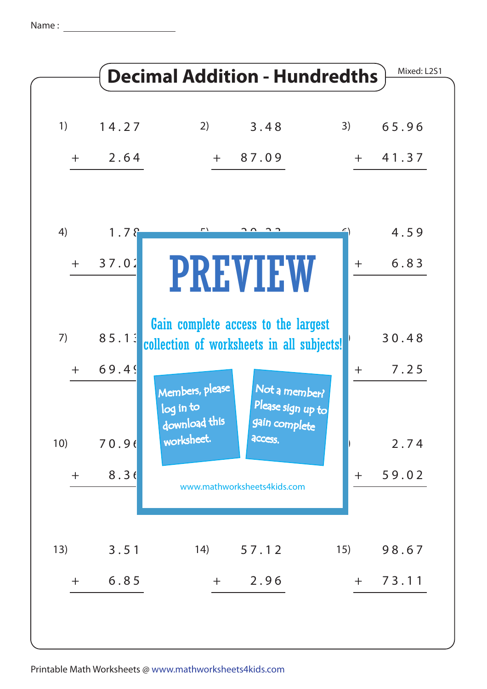